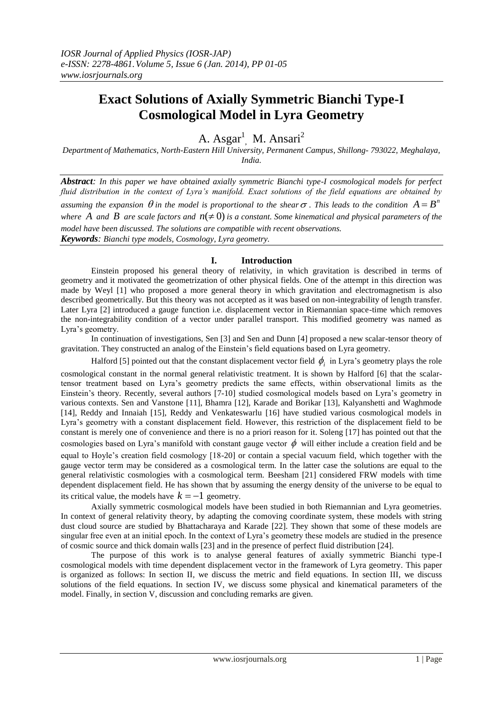# **Exact Solutions of Axially Symmetric Bianchi Type-I Cosmological Model in Lyra Geometry**

A. Asgar<sup>1</sup>, M. Ansari<sup>2</sup>

*Department of Mathematics, North-Eastern Hill University, Permanent Campus, Shillong- 793022, Meghalaya, India.*

*Abstract: In this paper we have obtained axially symmetric Bianchi type-I cosmological models for perfect fluid distribution in the context of Lyra's manifold. Exact solutions of the field equations are obtained by*  assuming the expansion  $\theta$  in the model is proportional to the shear  $\sigma$  . This leads to the condition  $A = B^n$ where A and B are scale factors and  $n(\neq 0)$  is a constant. Some kinematical and physical parameters of the *model have been discussed. The solutions are compatible with recent observations. Keywords: Bianchi type models, Cosmology, Lyra geometry.*

## **I. Introduction**

Einstein proposed his general theory of relativity, in which gravitation is described in terms of geometry and it motivated the geometrization of other physical fields. One of the attempt in this direction was made by Weyl [1] who proposed a more general theory in which gravitation and electromagnetism is also described geometrically. But this theory was not accepted as it was based on non-integrability of length transfer. Later Lyra [2] introduced a gauge function i.e. displacement vector in Riemannian space-time which removes the non-integrability condition of a vector under parallel transport. This modified geometry was named as Lyra's geometry.

In continuation of investigations, Sen [3] and Sen and Dunn [4] proposed a new scalar-tensor theory of gravitation. They constructed an analog of the Einstein's field equations based on Lyra geometry.

Halford [5] pointed out that the constant displacement vector field  $\phi_i$  in Lyra's geometry plays the role cosmological constant in the normal general relativistic treatment. It is shown by Halford [6] that the scalar-

tensor treatment based on Lyra's geometry predicts the same effects, within observational limits as the Einstein's theory. Recently, several authors [7-10] studied cosmological models based on Lyra's geometry in various contexts. Sen and Vanstone [11], Bhamra [12], Karade and Borikar [13], Kalyanshetti and Waghmode [14], Reddy and Innaiah [15], Reddy and Venkateswarlu [16] have studied various cosmological models in Lyra's geometry with a constant displacement field. However, this restriction of the displacement field to be constant is merely one of convenience and there is no a priori reason for it. Soleng [17] has pointed out that the cosmologies based on Lyra's manifold with constant gauge vector  $\phi$  will either include a creation field and be equal to Hoyle's creation field cosmology [18-20] or contain a special vacuum field, which together with the gauge vector term may be considered as a cosmological term. In the latter case the solutions are equal to the general relativistic cosmologies with a cosmological term. Beesham [21] considered FRW models with time dependent displacement field. He has shown that by assuming the energy density of the universe to be equal to its critical value, the models have  $k = -1$  geometry.

Axially symmetric cosmological models have been studied in both Riemannian and Lyra geometries. In context of general relativity theory, by adapting the comoving coordinate system, these models with string dust cloud source are studied by Bhattacharaya and Karade [22]. They shown that some of these models are singular free even at an initial epoch. In the context of Lyra's geometry these models are studied in the presence of cosmic source and thick domain walls [23] and in the presence of perfect fluid distribution [24].

The purpose of this work is to analyse general features of axially symmetric Bianchi type-I cosmological models with time dependent displacement vector in the framework of Lyra geometry. This paper is organized as follows: In section II, we discuss the metric and field equations. In section III, we discuss solutions of the field equations. In section IV, we discuss some physical and kinematical parameters of the model. Finally, in section V, discussion and concluding remarks are given.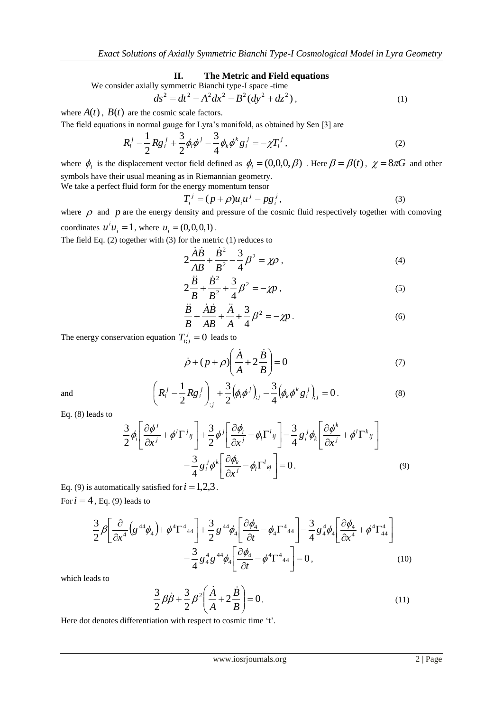## **II. The Metric and Field equations**

We consider axially symmetric Bianchi type-I space-time  

$$
ds^2 = dt^2 - A^2 dx^2 - B^2 (dy^2 + dz^2)
$$
 (1)

where  $A(t)$ ,  $B(t)$  are the cosmic scale factors.

The field equations in normal gauge for Lyra's manifold, as obtained by Sen [3] are

$$
R_i^j - \frac{1}{2} R g_i^j + \frac{3}{2} \phi_i \phi^j - \frac{3}{4} \phi_k \phi^k g_i^j = -\chi T_i^j,
$$
 (2)

where  $\phi_i$  is the displacement vector field defined as  $\phi_i = (0,0,0,\beta)$ . Here  $\beta = \beta(t)$ ,  $\chi = 8\pi G$  and other symbols have their usual meaning as in Riemannian geometry. We take a perfect fluid form for the energy momentum tensor

$$
T_i^j = (p + \rho)u_i u^j - pg_i^j,\tag{3}
$$

where  $\rho$  and  $p$  are the energy density and pressure of the cosmic fluid respectively together with comoving coordinates  $u^{i}u_{i} = 1$ , where  $u_{i} = (0, 0, 0, 1)$ .

The field Eq. (2) together with (3) for the metric (1) reduces to

$$
2\frac{\dot{A}\dot{B}}{AB} + \frac{\dot{B}^2}{B^2} - \frac{3}{4}\beta^2 = \chi \rho \,,
$$
 (4)

$$
2\frac{\ddot{B}}{B} + \frac{\dot{B}^2}{B^2} + \frac{3}{4}\beta^2 = -\chi p\,,\tag{5}
$$

$$
\frac{\ddot{B}}{B} + \frac{\dot{A}\dot{B}}{AB} + \frac{\ddot{A}}{A} + \frac{3}{4}\beta^2 = -\chi p.
$$
 (6)

The energy conservation equation  $T_{i,j}^j = 0$  leads to

$$
\dot{\rho} + (p + \rho) \left( \frac{\dot{A}}{A} + 2 \frac{\dot{B}}{B} \right) = 0 \tag{7}
$$

$$
\left(R_i^j - \frac{1}{2}Rg_i^j\right)_{;j} + \frac{3}{2}\left(\phi_i\phi^j\right)_{;j} - \frac{3}{4}\left(\phi_k\phi^k g_i^j\right)_{;j} = 0.
$$
\n(8)

and

Eq. (8) leads to

$$
\frac{3}{2}\phi_i \left[ \frac{\partial \phi^j}{\partial x^j} + \phi^l \Gamma^j{}_l{}_l{}^l{}_l \right] + \frac{3}{2}\phi^j \left[ \frac{\partial \phi_i}{\partial x^j} - \phi_l \Gamma^l{}_{ij}{}^l{}_l \right] - \frac{3}{4}g^j{}_i\phi_k \left[ \frac{\partial \phi^k}{\partial x^j} + \phi^l \Gamma^k{}_{lj}{}^l{}_l \right] - \frac{3}{4}g^j{}_i\phi^k \left[ \frac{\partial \phi_k}{\partial x^j} - \phi_l \Gamma^l{}_{kj}{}^l{}_l \right] = 0. \tag{9}
$$

Eq. (9) is automatically satisfied for  $i = 1,2,3$ . For  $i = 4$ , Eq. (9) leads to

$$
\frac{3}{2}\beta \left[ \frac{\partial}{\partial x^4} \left( g^{44} \phi_4 \right) + \phi^4 \Gamma^4{}_{44} \right] + \frac{3}{2} g^{44} \phi_4 \left[ \frac{\partial \phi_4}{\partial t} - \phi_4 \Gamma^4{}_{44} \right] - \frac{3}{4} g^4_4 \phi_4 \left[ \frac{\partial \phi_4}{\partial x^4} + \phi^4 \Gamma^4{}_{44} \right] - \frac{3}{4} g^4_4 g^{44} \phi_4 \left[ \frac{\partial \phi_4}{\partial t} - \phi^4 \Gamma^4{}_{44} \right] = 0, \tag{10}
$$

which leads to

$$
\frac{3}{2}\beta\dot{\beta} + \frac{3}{2}\beta^2 \left(\frac{\dot{A}}{A} + 2\frac{\dot{B}}{B}\right) = 0.
$$
 (11)

Here dot denotes differentiation with respect to cosmic time 't'.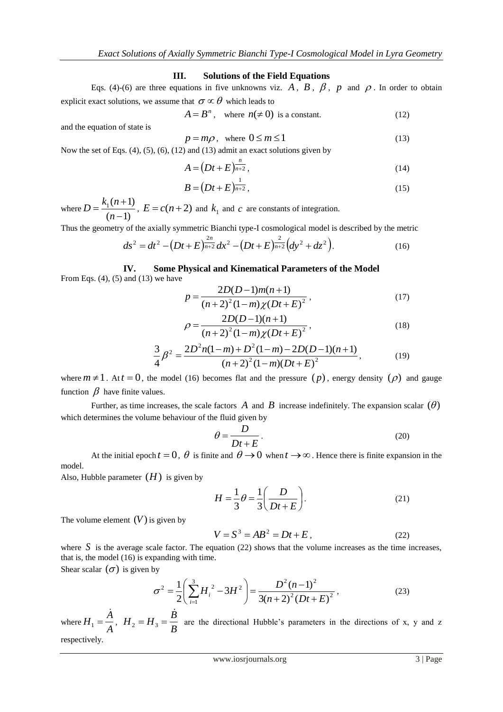## **III. Solutions of the Field Equations**

Eqs. (4)-(6) are three equations in five unknowns viz. A, B,  $\beta$ , p and  $\rho$ . In order to obtain explicit exact solutions, we assume that  $\sigma \propto \theta$  which leads to

$$
A = Bn, \text{ where } n(\neq 0) \text{ is a constant.} \tag{12}
$$

and the equation of state is

$$
p = m\rho, \text{ where } 0 \le m \le 1 \tag{13}
$$

Now the set of Eqs.  $(4)$ ,  $(5)$ ,  $(6)$ ,  $(12)$  and  $(13)$  admit an exact solutions given by

$$
A = \left(Dt + E\right)^{\frac{n}{n+2}},\tag{14}
$$

$$
B = (Dt + E)^{\frac{1}{n+2}},
$$
\n(15)

where  $D = \frac{n_1(n+1)}{(n-1)}$  $n_{1}(n+1)$  $\overline{\phantom{0}}$  $=\frac{k_1(n+1)}{2}$ *n*  $D = \frac{k_1(n+1)}{(n+1)}$ ,  $E = c(n+2)$  and  $k_1$  and  $c$  are constants of integration.

Thus the geometry of the axially symmetric Bianchi type-I cosmological model is described by the metric

$$
ds^{2} = dt^{2} - \left(Dt + E\right)^{\frac{2n}{n+2}} dx^{2} - \left(Dt + E\right)^{\frac{2}{n+2}} \left(dy^{2} + dz^{2}\right).
$$
 (16)

**IV. Some Physical and Kinematical Parameters of the Model** From Eqs.  $(4)$ ,  $(5)$  and  $(13)$  we have

$$
p = \frac{2D(D-1)m(n+1)}{(n+2)^{2}(1-m)\chi(Dt+E)^{2}},
$$
\n(17)

$$
\rho = \frac{2D(D-1)(n+1)}{(n+2)^2(1-m)\chi(Dt+E)^2},
$$
\n(18)

$$
\frac{3}{4}\beta^2 = \frac{2D^2n(1-m)+D^2(1-m)-2D(D-1)(n+1)}{(n+2)^2(1-m)(Dt+E)^2},
$$
\n(19)

where  $m \neq 1$ . At  $t = 0$ , the model (16) becomes flat and the pressure  $(p)$ , energy density  $(\rho)$  and gauge function  $\beta$  have finite values.

Further, as time increases, the scale factors  $A$  and  $B$  increase indefinitely. The expansion scalar  $(\theta)$ which determines the volume behaviour of the fluid given by

$$
\theta = \frac{D}{Dt + E} \,. \tag{20}
$$

At the initial epoch  $t = 0$ ,  $\theta$  is finite and  $\theta \to 0$  when  $t \to \infty$ . Hence there is finite expansion in the model.

Also, Hubble parameter  $(H)$  is given by

$$
H = \frac{1}{3}\theta = \frac{1}{3}\left(\frac{D}{Dt+E}\right).
$$
 (21)

The volume element  $(V)$  is given by

$$
V = S3 = AB2 = Dt + E,
$$
 (22)

where  $S$  is the average scale factor. The equation (22) shows that the volume increases as the time increases, that is, the model (16) is expanding with time.

Shear scalar  $(\sigma)$  is given by

$$
\sigma^2 = \frac{1}{2} \left( \sum_{i=1}^3 H_i^2 - 3H^2 \right) = \frac{D^2 (n-1)^2}{3(n+2)^2 (Dt+E)^2},
$$
\n(23)

where  $H_1 = \frac{A}{A}$  $H_1 = \frac{A}{A}$ .<br>4  $H_1 = \frac{H}{A}$ ,  $H_2 = H_3 = \frac{B}{B}$  $H_2 = H_3 = \frac{B}{A}$ ġ  $\sum_{2}$  =  $H_{3}$  =  $\frac{B}{R_{2}}$  are the directional Hubble's parameters in the directions of x, y and z respectively.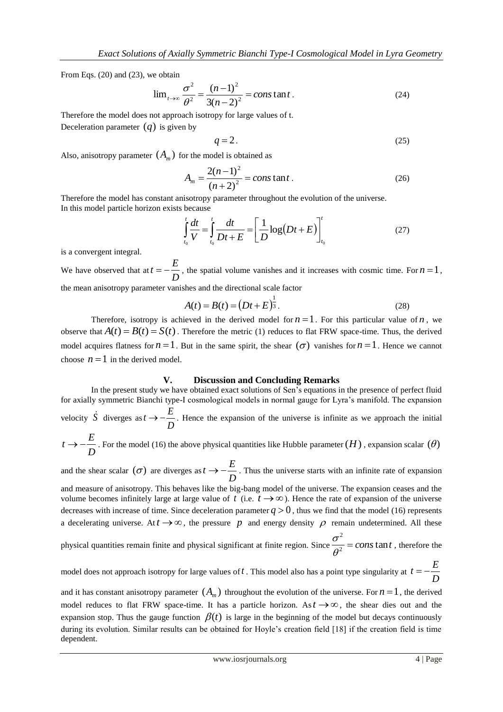From Eqs. (20) and (23), we obtain

$$
\lim_{t \to \infty} \frac{\sigma^2}{\theta^2} = \frac{(n-1)^2}{3(n-2)^2} = const \text{ and } t.
$$
 (24)

Therefore the model does not approach isotropy for large values of t.

Deceleration parameter  $(q)$  is given by

$$
q=2.\t(25)
$$

Also, anisotropy parameter  $(A_m)$  for the model is obtained as

$$
A_m = \frac{2(n-1)^2}{(n+2)^2} = const \text{ and } t.
$$
 (26)

Therefore the model has constant anisotropy parameter throughout the evolution of the universe. In this model particle horizon exists because

$$
\int_{t_0}^t \frac{dt}{V} = \int_{t_0}^t \frac{dt}{Dt + E} = \left[ \frac{1}{D} \log(Dt + E) \right]_{t_0}^t \tag{27}
$$

is a convergent integral.

We have observed that at  $t = -\frac{p}{D}$  $t = -\frac{E}{\sqrt{2}}$ , the spatial volume vanishes and it increases with cosmic time. For  $n = 1$ , the mean anisotropy parameter vanishes and the directional scale factor

$$
A(t) = B(t) = (Dt + E)^{\frac{1}{3}}.
$$
\n(28)

Therefore, isotropy is achieved in the derived model for  $n = 1$ . For this particular value of n, we observe that  $A(t) = B(t) = S(t)$ . Therefore the metric (1) reduces to flat FRW space-time. Thus, the derived model acquires flatness for  $n = 1$ . But in the same spirit, the shear  $(\sigma)$  vanishes for  $n = 1$ . Hence we cannot choose  $n = 1$  in the derived model.

#### **V. Discussion and Concluding Remarks**

In the present study we have obtained exact solutions of Sen's equations in the presence of perfect fluid for axially symmetric Bianchi type-I cosmological models in normal gauge for Lyra's manifold. The expansion velocity  $\dot{S}$  diverges as *D*  $t \rightarrow -\frac{E}{\cdot}$ . Hence the expansion of the universe is infinite as we approach the initial *D*  $t \to -\frac{E}{\sqrt{2}}$ . For the model (16) the above physical quantities like Hubble parameter  $(H)$ , expansion scalar  $(\theta)$ 

and the shear scalar  $(\sigma)$  are diverges as  $t \rightarrow -\frac{E}{D}$  $t \rightarrow -\frac{E}{\sqrt{2}}$ . Thus the universe starts with an infinite rate of expansion

and measure of anisotropy. This behaves like the big-bang model of the universe. The expansion ceases and the volume becomes infinitely large at large value of  $t$  (i.e.  $t \to \infty$ ). Hence the rate of expansion of the universe decreases with increase of time. Since deceleration parameter  $q > 0$ , thus we find that the model (16) represents a decelerating universe. At  $t \to \infty$ , the pressure p and energy density p remain undetermined. All these

physical quantities remain finite and physical significant at finite region. Since  $\frac{\partial}{\partial^2} = const$  and 2  $\frac{\partial}{\partial^2} =$  $\sigma$ <sup>-</sup> = constant, therefore the

model does not approach isotropy for large values of *t* . This model also has a point type singularity at *D*  $t = -\frac{E}{A}$ 

and it has constant anisotropy parameter  $(A_m)$  throughout the evolution of the universe. For  $n = 1$ , the derived model reduces to flat FRW space-time. It has a particle horizon. As  $t \rightarrow \infty$ , the shear dies out and the expansion stop. Thus the gauge function  $\beta(t)$  is large in the beginning of the model but decays continuously during its evolution. Similar results can be obtained for Hoyle's creation field [18] if the creation field is time dependent.